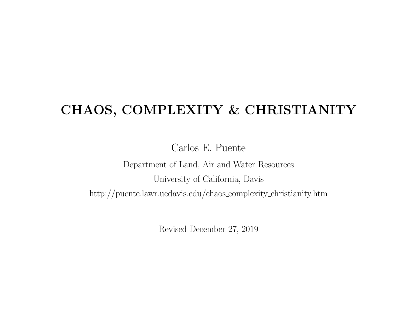## CHAOS, COMPLEXITY & CHRISTIANITY

Carlos E. Puente

Department of Land, Air and Water Resources University of California, Davis

http://puente.lawr.ucdavis.edu/chaos complexity christianity.htm

Revised December 27, 2019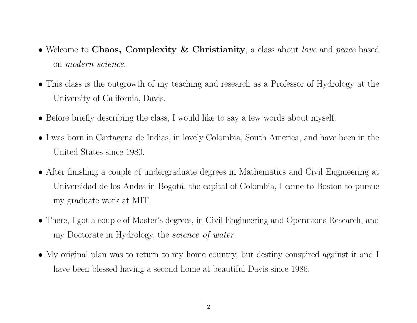- Welcome to Chaos, Complexity & Christianity, a class about *love* and *peace* based on modern science.
- This class is the outgrowth of my teaching and research as a Professor of Hydrology at the University of California, Davis.
- Before briefly describing the class, I would like to say a few words about myself.
- I was born in Cartagena de Indias, in lovely Colombia, South America, and have been in the United States since 1980.
- After finishing a couple of undergraduate degrees in Mathematics and Civil Engineering at Universidad de los Andes in Bogotá, the capital of Colombia, I came to Boston to pursue my graduate work at MIT.
- There, I got a couple of Master's degrees, in Civil Engineering and Operations Research, and my Doctorate in Hydrology, the science of water.
- My original plan was to return to my home country, but destiny conspired against it and I have been blessed having a second home at beautiful Davis since 1986.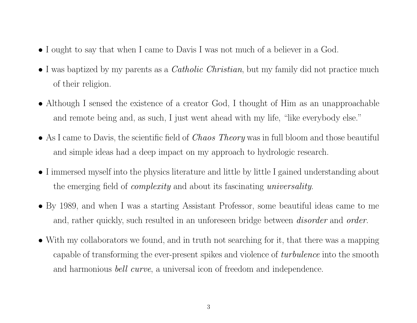- I ought to say that when I came to Davis I was not much of a believer in a God.
- I was baptized by my parents as a *Catholic Christian*, but my family did not practice much of their religion.
- Although I sensed the existence of a creator God, I thought of Him as an unapproachable and remote being and, as such, I just went ahead with my life, "like everybody else."
- As I came to Davis, the scientific field of *Chaos Theory* was in full bloom and those beautiful and simple ideas had a deep impact on my approach to hydrologic research.
- I immersed myself into the physics literature and little by little I gained understanding about the emerging field of complexity and about its fascinating universality.
- By 1989, and when I was a starting Assistant Professor, some beautiful ideas came to me and, rather quickly, such resulted in an unforeseen bridge between *disorder* and *order*.
- With my collaborators we found, and in truth not searching for it, that there was a mapping capable of transforming the ever-present spikes and violence of *turbulence* into the smooth and harmonious bell curve, a universal icon of freedom and independence.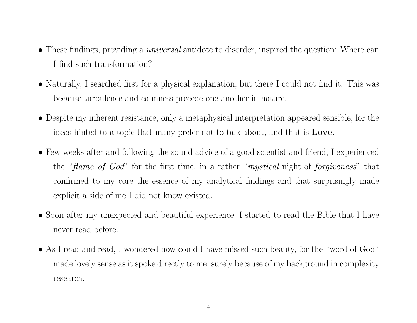- These findings, providing a *universal* antidote to disorder, inspired the question: Where can I find such transformation?
- Naturally, I searched first for a physical explanation, but there I could not find it. This was because turbulence and calmness precede one another in nature.
- Despite my inherent resistance, only a metaphysical interpretation appeared sensible, for the ideas hinted to a topic that many prefer not to talk about, and that is Love.
- Few weeks after and following the sound advice of a good scientist and friend, I experienced the "*flame of God*" for the first time, in a rather "*mystical* night of *forgiveness*" that confirmed to my core the essence of my analytical findings and that surprisingly made explicit a side of me I did not know existed.
- Soon after my unexpected and beautiful experience, I started to read the Bible that I have never read before.
- As I read and read, I wondered how could I have missed such beauty, for the "word of God" made lovely sense as it spoke directly to me, surely because of my background in complexity research.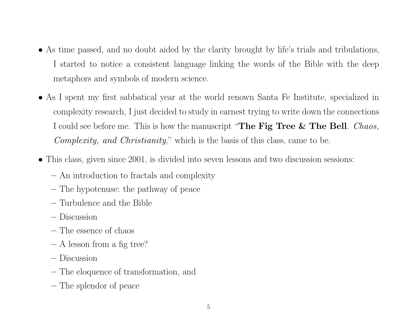- As time passed, and no doubt aided by the clarity brought by life's trials and tribulations, I started to notice a consistent language linking the words of the Bible with the deep metaphors and symbols of modern science.
- As I spent my first sabbatical year at the world renown Santa Fe Institute, specialized in complexity research, I just decided to study in earnest trying to write down the connections I could see before me. This is how the manuscript "The Fig Tree  $&$  The Bell. *Chaos*, Complexity, and Christianity," which is the basis of this class, came to be.
- This class, given since 2001, is divided into seven lessons and two discussion sessions:
	- An introduction to fractals and complexity
	- The hypotenuse: the pathway of peace
	- Turbulence and the Bible
	- Discussion
	- The essence of chaos
	- A lesson from a fig tree?
	- Discussion
	- The eloquence of transformation, and
	- The splendor of peace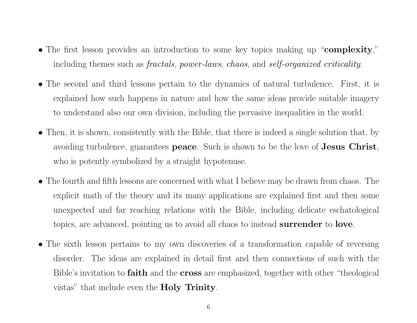- The first lesson provides an introduction to some key topics making up "complexity," including themes such as *fractals*, *power-laws*, *chaos*, and *self-organized criticality*.
- The second and third lessons pertain to the dynamics of natural turbulence. First, it is explained how such happens in nature and how the same ideas provide suitable imagery to understand also our own division, including the pervasive inequalities in the world.
- Then, it is shown, consistently with the Bible, that there is indeed a single solution that, by avoiding turbulence, guarantees **peace**. Such is shown to be the love of **Jesus Christ**, who is potently symbolized by a straight hypotenuse.
- The fourth and fifth lessons are concerned with what I believe may be drawn from chaos. The explicit math of the theory and its many applications are explained first and then some unexpected and far reaching relations with the Bible, including delicate eschatological topics, are advanced, pointing us to avoid all chaos to instead surrender to love.
- The sixth lesson pertains to my own discoveries of a transformation capable of reversing disorder. The ideas are explained in detail first and then connections of such with the Bible's invitation to **faith** and the **cross** are emphasized, together with other "theological" vistas" that include even the Holy Trinity.